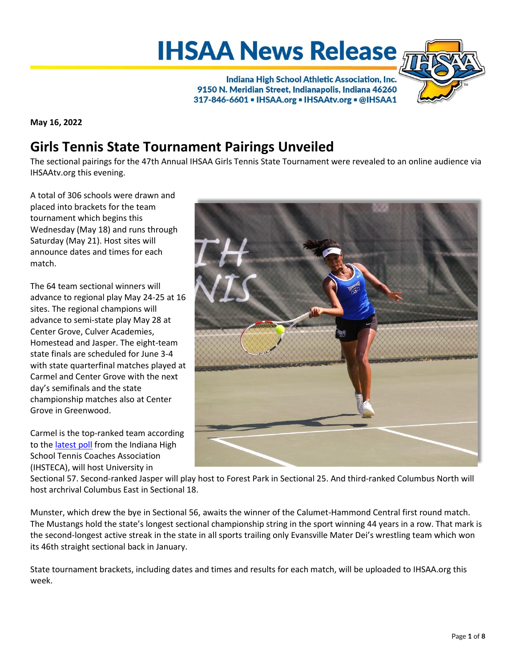# **IHSAA News Release**

Indiana High School Athletic Association, Inc. 9150 N. Meridian Street, Indianapolis, Indiana 46260 317-846-6601 - IHSAA.org - IHSAAtv.org - @IHSAA1



**May 16, 2022**

## **Girls Tennis State Tournament Pairings Unveiled**

The sectional pairings for the 47th Annual IHSAA Girls Tennis State Tournament were revealed to an online audience via IHSAAtv.org this evening.

A total of 306 schools were drawn and placed into brackets for the team tournament which begins this Wednesday (May 18) and runs through Saturday (May 21). Host sites will announce dates and times for each match.

The 64 team sectional winners will advance to regional play May 24-25 at 16 sites. The regional champions will advance to semi-state play May 28 at Center Grove, Culver Academies, Homestead and Jasper. The eight-team state finals are scheduled for June 3-4 with state quarterfinal matches played at Carmel and Center Grove with the next day's semifinals and the state championship matches also at Center Grove in Greenwood.

Carmel is the top-ranked team according to the [latest poll](https://www.indianatennis.com/tennis-rankings/) from the Indiana High School Tennis Coaches Association (IHSTECA), will host University in



Sectional 57. Second-ranked Jasper will play host to Forest Park in Sectional 25. And third-ranked Columbus North will host archrival Columbus East in Sectional 18.

Munster, which drew the bye in Sectional 56, awaits the winner of the Calumet-Hammond Central first round match. The Mustangs hold the state's longest sectional championship string in the sport winning 44 years in a row. That mark is the second-longest active streak in the state in all sports trailing only Evansville Mater Dei's wrestling team which won its 46th straight sectional back in January.

State tournament brackets, including dates and times and results for each match, will be uploaded to IHSAA.org this week.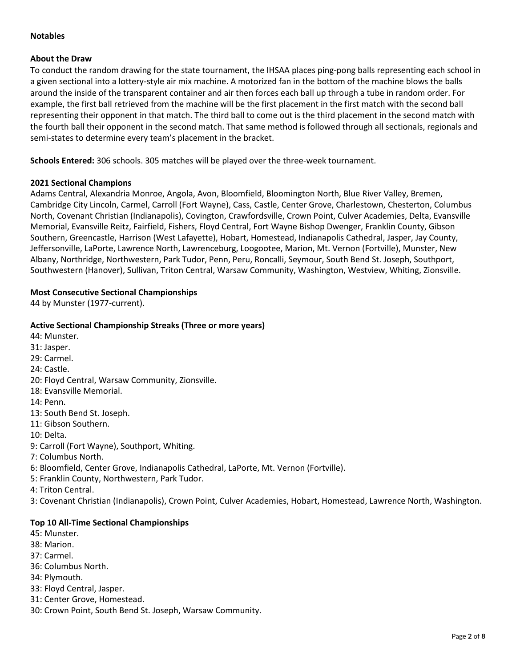## **Notables**

## **About the Draw**

To conduct the random drawing for the state tournament, the IHSAA places ping-pong balls representing each school in a given sectional into a lottery-style air mix machine. A motorized fan in the bottom of the machine blows the balls around the inside of the transparent container and air then forces each ball up through a tube in random order. For example, the first ball retrieved from the machine will be the first placement in the first match with the second ball representing their opponent in that match. The third ball to come out is the third placement in the second match with the fourth ball their opponent in the second match. That same method is followed through all sectionals, regionals and semi-states to determine every team's placement in the bracket.

**Schools Entered:** 306 schools. 305 matches will be played over the three‐week tournament.

## **2021 Sectional Champions**

Adams Central, Alexandria Monroe, Angola, Avon, Bloomfield, Bloomington North, Blue River Valley, Bremen, Cambridge City Lincoln, Carmel, Carroll (Fort Wayne), Cass, Castle, Center Grove, Charlestown, Chesterton, Columbus North, Covenant Christian (Indianapolis), Covington, Crawfordsville, Crown Point, Culver Academies, Delta, Evansville Memorial, Evansville Reitz, Fairfield, Fishers, Floyd Central, Fort Wayne Bishop Dwenger, Franklin County, Gibson Southern, Greencastle, Harrison (West Lafayette), Hobart, Homestead, Indianapolis Cathedral, Jasper, Jay County, Jeffersonville, LaPorte, Lawrence North, Lawrenceburg, Loogootee, Marion, Mt. Vernon (Fortville), Munster, New Albany, Northridge, Northwestern, Park Tudor, Penn, Peru, Roncalli, Seymour, South Bend St. Joseph, Southport, Southwestern (Hanover), Sullivan, Triton Central, Warsaw Community, Washington, Westview, Whiting, Zionsville.

## **Most Consecutive Sectional Championships**

44 by Munster (1977-current).

## **Active Sectional Championship Streaks (Three or more years)**

- 44: Munster.
- 31: Jasper.
- 29: Carmel.
- 24: Castle.
- 20: Floyd Central, Warsaw Community, Zionsville.
- 18: Evansville Memorial.
- 14: Penn.
- 13: South Bend St. Joseph.
- 11: Gibson Southern.
- 10: Delta.
- 9: Carroll (Fort Wayne), Southport, Whiting.
- 7: Columbus North.
- 6: Bloomfield, Center Grove, Indianapolis Cathedral, LaPorte, Mt. Vernon (Fortville).
- 5: Franklin County, Northwestern, Park Tudor.
- 4: Triton Central.

3: Covenant Christian (Indianapolis), Crown Point, Culver Academies, Hobart, Homestead, Lawrence North, Washington.

## **Top 10 All-Time Sectional Championships**

- 45: Munster.
- 38: Marion.
- 37: Carmel.
- 36: Columbus North.
- 34: Plymouth.
- 33: Floyd Central, Jasper.
- 31: Center Grove, Homestead.
- 30: Crown Point, South Bend St. Joseph, Warsaw Community.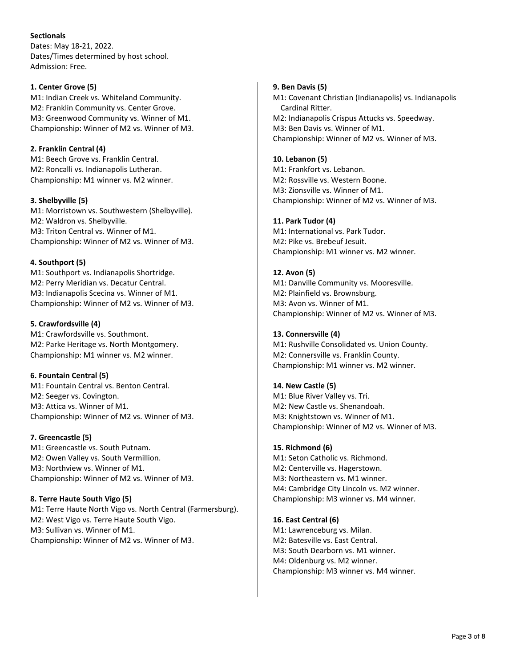## **Sectionals**

Dates: May 18-21, 2022. Dates/Times determined by host school. Admission: Free.

## **1. Center Grove (5)**

M1: Indian Creek vs. Whiteland Community. M2: Franklin Community vs. Center Grove. M3: Greenwood Community vs. Winner of M1. Championship: Winner of M2 vs. Winner of M3.

## **2. Franklin Central (4)**

M1: Beech Grove vs. Franklin Central. M2: Roncalli vs. Indianapolis Lutheran. Championship: M1 winner vs. M2 winner.

## **3. Shelbyville (5)**

M1: Morristown vs. Southwestern (Shelbyville). M2: Waldron vs. Shelbyville. M3: Triton Central vs. Winner of M1. Championship: Winner of M2 vs. Winner of M3.

## **4. Southport (5)**

M1: Southport vs. Indianapolis Shortridge. M2: Perry Meridian vs. Decatur Central. M3: Indianapolis Scecina vs. Winner of M1. Championship: Winner of M2 vs. Winner of M3.

## **5. Crawfordsville (4)**

M1: Crawfordsville vs. Southmont. M2: Parke Heritage vs. North Montgomery. Championship: M1 winner vs. M2 winner.

## **6. Fountain Central (5)**

M1: Fountain Central vs. Benton Central. M2: Seeger vs. Covington. M3: Attica vs. Winner of M1. Championship: Winner of M2 vs. Winner of M3.

## **7. Greencastle (5)**

M1: Greencastle vs. South Putnam. M2: Owen Valley vs. South Vermillion. M3: Northview vs. Winner of M1. Championship: Winner of M2 vs. Winner of M3.

## **8. Terre Haute South Vigo (5)**

M1: Terre Haute North Vigo vs. North Central (Farmersburg). M2: West Vigo vs. Terre Haute South Vigo. M3: Sullivan vs. Winner of M1. Championship: Winner of M2 vs. Winner of M3.

## **9. Ben Davis (5)**

M1: Covenant Christian (Indianapolis) vs. Indianapolis Cardinal Ritter. M2: Indianapolis Crispus Attucks vs. Speedway. M3: Ben Davis vs. Winner of M1. Championship: Winner of M2 vs. Winner of M3.

## **10. Lebanon (5)**

M1: Frankfort vs. Lebanon. M2: Rossville vs. Western Boone. M3: Zionsville vs. Winner of M1. Championship: Winner of M2 vs. Winner of M3.

## **11. Park Tudor (4)**

M1: International vs. Park Tudor. M2: Pike vs. Brebeuf Jesuit. Championship: M1 winner vs. M2 winner.

## **12. Avon (5)**

M1: Danville Community vs. Mooresville. M2: Plainfield vs. Brownsburg. M3: Avon vs. Winner of M1. Championship: Winner of M2 vs. Winner of M3.

## **13. Connersville (4)**

M1: Rushville Consolidated vs. Union County. M2: Connersville vs. Franklin County. Championship: M1 winner vs. M2 winner.

## **14. New Castle (5)**

M1: Blue River Valley vs. Tri. M2: New Castle vs. Shenandoah. M3: Knightstown vs. Winner of M1. Championship: Winner of M2 vs. Winner of M3.

## **15. Richmond (6)**

M1: Seton Catholic vs. Richmond. M2: Centerville vs. Hagerstown. M3: Northeastern vs. M1 winner. M4: Cambridge City Lincoln vs. M2 winner. Championship: M3 winner vs. M4 winner.

## **16. East Central (6)**

M1: Lawrenceburg vs. Milan. M2: Batesville vs. East Central. M3: South Dearborn vs. M1 winner. M4: Oldenburg vs. M2 winner. Championship: M3 winner vs. M4 winner.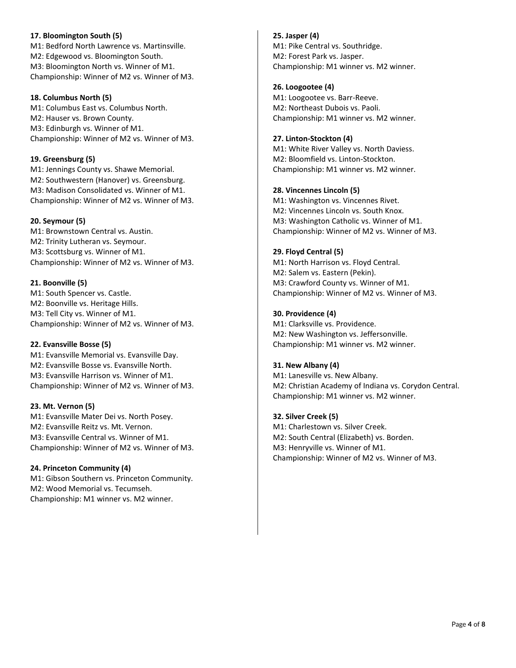## **17. Bloomington South (5)** M1: Bedford North Lawrence vs. Martinsville. M2: Edgewood vs. Bloomington South. M3: Bloomington North vs. Winner of M1. Championship: Winner of M2 vs. Winner of M3.

## **18. Columbus North (5)**

M1: Columbus East vs. Columbus North. M2: Hauser vs. Brown County. M3: Edinburgh vs. Winner of M1. Championship: Winner of M2 vs. Winner of M3.

## **19. Greensburg (5)**

M1: Jennings County vs. Shawe Memorial. M2: Southwestern (Hanover) vs. Greensburg. M3: Madison Consolidated vs. Winner of M1. Championship: Winner of M2 vs. Winner of M3.

## **20. Seymour (5)**

M1: Brownstown Central vs. Austin. M2: Trinity Lutheran vs. Seymour. M3: Scottsburg vs. Winner of M1. Championship: Winner of M2 vs. Winner of M3.

## **21. Boonville (5)**

M1: South Spencer vs. Castle. M2: Boonville vs. Heritage Hills. M3: Tell City vs. Winner of M1. Championship: Winner of M2 vs. Winner of M3.

## **22. Evansville Bosse (5)**

M1: Evansville Memorial vs. Evansville Day. M2: Evansville Bosse vs. Evansville North. M3: Evansville Harrison vs. Winner of M1. Championship: Winner of M2 vs. Winner of M3.

## **23. Mt. Vernon (5)**

M1: Evansville Mater Dei vs. North Posey. M2: Evansville Reitz vs. Mt. Vernon. M3: Evansville Central vs. Winner of M1. Championship: Winner of M2 vs. Winner of M3.

## **24. Princeton Community (4)**

M1: Gibson Southern vs. Princeton Community. M2: Wood Memorial vs. Tecumseh. Championship: M1 winner vs. M2 winner.

**25. Jasper (4)** M1: Pike Central vs. Southridge. M2: Forest Park vs. Jasper. Championship: M1 winner vs. M2 winner.

**26. Loogootee (4)** M1: Loogootee vs. Barr-Reeve. M2: Northeast Dubois vs. Paoli. Championship: M1 winner vs. M2 winner.

## **27. Linton-Stockton (4)**

M1: White River Valley vs. North Daviess. M2: Bloomfield vs. Linton-Stockton. Championship: M1 winner vs. M2 winner.

## **28. Vincennes Lincoln (5)**

M1: Washington vs. Vincennes Rivet. M2: Vincennes Lincoln vs. South Knox. M3: Washington Catholic vs. Winner of M1. Championship: Winner of M2 vs. Winner of M3.

## **29. Floyd Central (5)**

M1: North Harrison vs. Floyd Central. M2: Salem vs. Eastern (Pekin). M3: Crawford County vs. Winner of M1. Championship: Winner of M2 vs. Winner of M3.

## **30. Providence (4)**

M1: Clarksville vs. Providence. M2: New Washington vs. Jeffersonville. Championship: M1 winner vs. M2 winner.

## **31. New Albany (4)**

M1: Lanesville vs. New Albany. M2: Christian Academy of Indiana vs. Corydon Central. Championship: M1 winner vs. M2 winner.

## **32. Silver Creek (5)**

M1: Charlestown vs. Silver Creek. M2: South Central (Elizabeth) vs. Borden. M3: Henryville vs. Winner of M1. Championship: Winner of M2 vs. Winner of M3.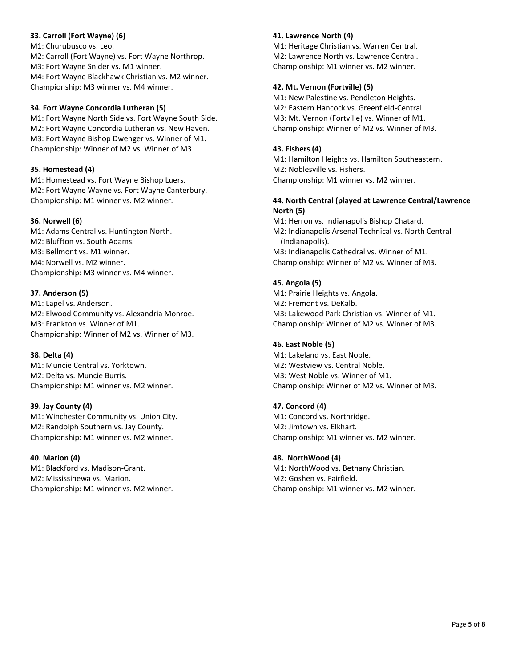## **33. Carroll (Fort Wayne) (6)**

M1: Churubusco vs. Leo. M2: Carroll (Fort Wayne) vs. Fort Wayne Northrop. M3: Fort Wayne Snider vs. M1 winner. M4: Fort Wayne Blackhawk Christian vs. M2 winner. Championship: M3 winner vs. M4 winner.

## **34. Fort Wayne Concordia Lutheran (5)**

M1: Fort Wayne North Side vs. Fort Wayne South Side. M2: Fort Wayne Concordia Lutheran vs. New Haven. M3: Fort Wayne Bishop Dwenger vs. Winner of M1. Championship: Winner of M2 vs. Winner of M3.

#### **35. Homestead (4)**

M1: Homestead vs. Fort Wayne Bishop Luers. M2: Fort Wayne Wayne vs. Fort Wayne Canterbury. Championship: M1 winner vs. M2 winner.

#### **36. Norwell (6)**

M1: Adams Central vs. Huntington North. M2: Bluffton vs. South Adams. M3: Bellmont vs. M1 winner. M4: Norwell vs. M2 winner. Championship: M3 winner vs. M4 winner.

#### **37. Anderson (5)**

M1: Lapel vs. Anderson. M2: Elwood Community vs. Alexandria Monroe. M3: Frankton vs. Winner of M1. Championship: Winner of M2 vs. Winner of M3.

## **38. Delta (4)**

M1: Muncie Central vs. Yorktown. M2: Delta vs. Muncie Burris. Championship: M1 winner vs. M2 winner.

#### **39. Jay County (4)**

M1: Winchester Community vs. Union City. M2: Randolph Southern vs. Jay County. Championship: M1 winner vs. M2 winner.

## **40. Marion (4)**

M1: Blackford vs. Madison-Grant. M2: Mississinewa vs. Marion. Championship: M1 winner vs. M2 winner.

## **41. Lawrence North (4)**

M1: Heritage Christian vs. Warren Central. M2: Lawrence North vs. Lawrence Central. Championship: M1 winner vs. M2 winner.

#### **42. Mt. Vernon (Fortville) (5)**

M1: New Palestine vs. Pendleton Heights. M2: Eastern Hancock vs. Greenfield-Central. M3: Mt. Vernon (Fortville) vs. Winner of M1. Championship: Winner of M2 vs. Winner of M3.

## **43. Fishers (4)**

M1: Hamilton Heights vs. Hamilton Southeastern. M2: Noblesville vs. Fishers. Championship: M1 winner vs. M2 winner.

## **44. North Central (played at Lawrence Central/Lawrence North (5)**

M1: Herron vs. Indianapolis Bishop Chatard. M2: Indianapolis Arsenal Technical vs. North Central (Indianapolis). M3: Indianapolis Cathedral vs. Winner of M1. Championship: Winner of M2 vs. Winner of M3.

## **45. Angola (5)**

M1: Prairie Heights vs. Angola. M2: Fremont vs. DeKalb. M3: Lakewood Park Christian vs. Winner of M1. Championship: Winner of M2 vs. Winner of M3.

## **46. East Noble (5)**

M1: Lakeland vs. East Noble. M2: Westview vs. Central Noble. M3: West Noble vs. Winner of M1. Championship: Winner of M2 vs. Winner of M3.

## **47. Concord (4)**

M1: Concord vs. Northridge. M2: Jimtown vs. Elkhart. Championship: M1 winner vs. M2 winner.

## **48. NorthWood (4)**

M1: NorthWood vs. Bethany Christian. M2: Goshen vs. Fairfield. Championship: M1 winner vs. M2 winner.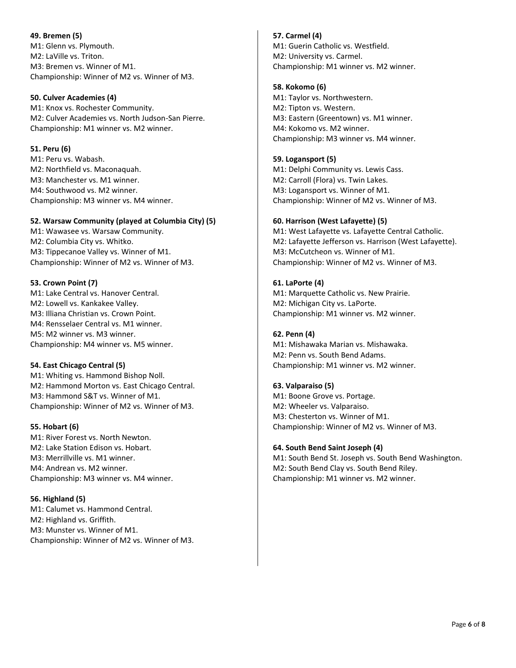**49. Bremen (5)** M1: Glenn vs. Plymouth. M2: LaVille vs. Triton. M3: Bremen vs. Winner of M1. Championship: Winner of M2 vs. Winner of M3.

## **50. Culver Academies (4)**

M1: Knox vs. Rochester Community. M2: Culver Academies vs. North Judson-San Pierre. Championship: M1 winner vs. M2 winner.

#### **51. Peru (6)**

M1: Peru vs. Wabash. M2: Northfield vs. Maconaquah. M3: Manchester vs. M1 winner. M4: Southwood vs. M2 winner. Championship: M3 winner vs. M4 winner.

## **52. Warsaw Community (played at Columbia City) (5)**

M1: Wawasee vs. Warsaw Community. M2: Columbia City vs. Whitko. M3: Tippecanoe Valley vs. Winner of M1. Championship: Winner of M2 vs. Winner of M3.

## **53. Crown Point (7)**

M1: Lake Central vs. Hanover Central. M2: Lowell vs. Kankakee Valley. M3: Illiana Christian vs. Crown Point. M4: Rensselaer Central vs. M1 winner. M5: M2 winner vs. M3 winner. Championship: M4 winner vs. M5 winner.

## **54. East Chicago Central (5)**

M1: Whiting vs. Hammond Bishop Noll. M2: Hammond Morton vs. East Chicago Central. M3: Hammond S&T vs. Winner of M1. Championship: Winner of M2 vs. Winner of M3.

## **55. Hobart (6)**

M1: River Forest vs. North Newton. M2: Lake Station Edison vs. Hobart. M3: Merrillville vs. M1 winner. M4: Andrean vs. M2 winner. Championship: M3 winner vs. M4 winner.

## **56. Highland (5)**

M1: Calumet vs. Hammond Central. M2: Highland vs. Griffith. M3: Munster vs. Winner of M1. Championship: Winner of M2 vs. Winner of M3. **57. Carmel (4)** M1: Guerin Catholic vs. Westfield. M2: University vs. Carmel. Championship: M1 winner vs. M2 winner.

## **58. Kokomo (6)**

M1: Taylor vs. Northwestern. M2: Tipton vs. Western. M3: Eastern (Greentown) vs. M1 winner. M4: Kokomo vs. M2 winner. Championship: M3 winner vs. M4 winner.

## **59. Logansport (5)**

M1: Delphi Community vs. Lewis Cass. M2: Carroll (Flora) vs. Twin Lakes. M3: Logansport vs. Winner of M1. Championship: Winner of M2 vs. Winner of M3.

## **60. Harrison (West Lafayette) (5)**

M1: West Lafayette vs. Lafayette Central Catholic. M2: Lafayette Jefferson vs. Harrison (West Lafayette). M3: McCutcheon vs. Winner of M1. Championship: Winner of M2 vs. Winner of M3.

## **61. LaPorte (4)**

M1: Marquette Catholic vs. New Prairie. M2: Michigan City vs. LaPorte. Championship: M1 winner vs. M2 winner.

## **62. Penn (4)**

M1: Mishawaka Marian vs. Mishawaka. M2: Penn vs. South Bend Adams. Championship: M1 winner vs. M2 winner.

## **63. Valparaiso (5)**

M1: Boone Grove vs. Portage. M2: Wheeler vs. Valparaiso. M3: Chesterton vs. Winner of M1. Championship: Winner of M2 vs. Winner of M3.

## **64. South Bend Saint Joseph (4)**

M1: South Bend St. Joseph vs. South Bend Washington. M2: South Bend Clay vs. South Bend Riley. Championship: M1 winner vs. M2 winner.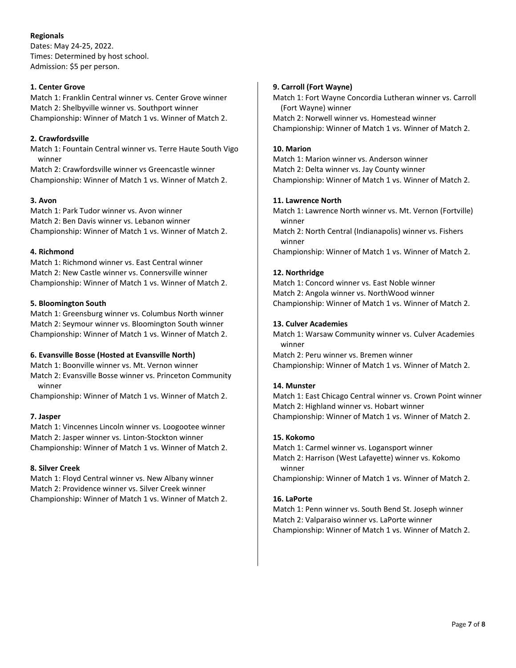## **Regionals**

Dates: May 24-25, 2022. Times: Determined by host school. Admission: \$5 per person.

## **1. Center Grove**

Match 1: Franklin Central winner vs. Center Grove winner Match 2: Shelbyville winner vs. Southport winner Championship: Winner of Match 1 vs. Winner of Match 2.

## **2. Crawfordsville**

Match 1: Fountain Central winner vs. Terre Haute South Vigo winner

Match 2: Crawfordsville winner vs Greencastle winner Championship: Winner of Match 1 vs. Winner of Match 2.

## **3. Avon**

Match 1: Park Tudor winner vs. Avon winner Match 2: Ben Davis winner vs. Lebanon winner Championship: Winner of Match 1 vs. Winner of Match 2.

## **4. Richmond**

Match 1: Richmond winner vs. East Central winner Match 2: New Castle winner vs. Connersville winner Championship: Winner of Match 1 vs. Winner of Match 2.

## **5. Bloomington South**

Match 1: Greensburg winner vs. Columbus North winner Match 2: Seymour winner vs. Bloomington South winner Championship: Winner of Match 1 vs. Winner of Match 2.

## **6. Evansville Bosse (Hosted at Evansville North)**

Match 1: Boonville winner vs. Mt. Vernon winner Match 2: Evansville Bosse winner vs. Princeton Community winner

Championship: Winner of Match 1 vs. Winner of Match 2.

## **7. Jasper**

Match 1: Vincennes Lincoln winner vs. Loogootee winner Match 2: Jasper winner vs. Linton-Stockton winner Championship: Winner of Match 1 vs. Winner of Match 2.

## **8. Silver Creek**

Match 1: Floyd Central winner vs. New Albany winner Match 2: Providence winner vs. Silver Creek winner Championship: Winner of Match 1 vs. Winner of Match 2.

## **9. Carroll (Fort Wayne)**

Match 1: Fort Wayne Concordia Lutheran winner vs. Carroll (Fort Wayne) winner Match 2: Norwell winner vs. Homestead winner Championship: Winner of Match 1 vs. Winner of Match 2.

## **10. Marion**

Match 1: Marion winner vs. Anderson winner Match 2: Delta winner vs. Jay County winner Championship: Winner of Match 1 vs. Winner of Match 2.

## **11. Lawrence North**

Match 1: Lawrence North winner vs. Mt. Vernon (Fortville) winner

Match 2: North Central (Indianapolis) winner vs. Fishers winner

Championship: Winner of Match 1 vs. Winner of Match 2.

## **12. Northridge**

Match 1: Concord winner vs. East Noble winner Match 2: Angola winner vs. NorthWood winner Championship: Winner of Match 1 vs. Winner of Match 2.

## **13. Culver Academies**

Match 1: Warsaw Community winner vs. Culver Academies winner

Match 2: Peru winner vs. Bremen winner Championship: Winner of Match 1 vs. Winner of Match 2.

## **14. Munster**

Match 1: East Chicago Central winner vs. Crown Point winner Match 2: Highland winner vs. Hobart winner Championship: Winner of Match 1 vs. Winner of Match 2.

## **15. Kokomo**

Match 1: Carmel winner vs. Logansport winner Match 2: Harrison (West Lafayette) winner vs. Kokomo winner

Championship: Winner of Match 1 vs. Winner of Match 2.

## **16. LaPorte**

Match 1: Penn winner vs. South Bend St. Joseph winner Match 2: Valparaiso winner vs. LaPorte winner Championship: Winner of Match 1 vs. Winner of Match 2.